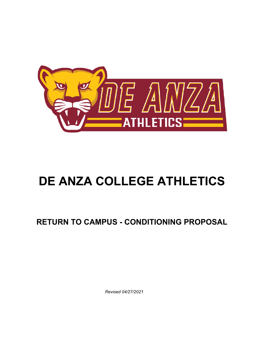

# **DE ANZA COLLEGE ATHLETICS**

# **RETURN TO CAMPUS - CONDITIONING PROPOSAL**

*Revised 04/27/2021*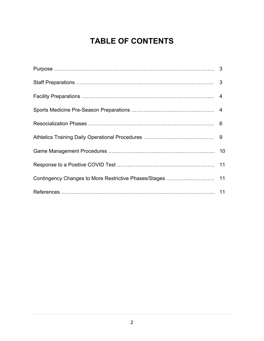# **TABLE OF CONTENTS**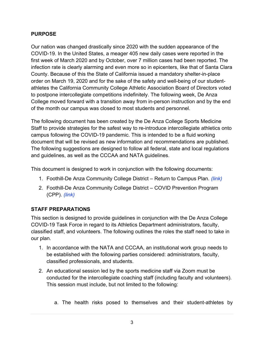#### **PURPOSE**

Our nation was changed drastically since 2020 with the sudden appearance of the COVID-19. In the United States, a meager 405 new daily cases were reported in the first week of March 2020 and by October, over 7 million cases had been reported. The infection rate is clearly alarming and even more so in epicenters, like that of Santa Clara County. Because of this the State of California issued a mandatory shelter-in-place order on March 19, 2020 and for the sake of the safety and well-being of our studentathletes the California Community College Athletic Association Board of Directors voted to postpone intercollegiate competitions indefinitely. The following week, De Anza College moved forward with a transition away from in-person instruction and by the end of the month our campus was closed to most students and personnel.

The following document has been created by the De Anza College Sports Medicine Staff to provide strategies for the safest way to re-introduce intercollegiate athletics onto campus following the COVID-19 pandemic. This is intended to be a fluid working document that will be revised as new information and recommendations are published. The following suggestions are designed to follow all federal, state and local regulations and guidelines, as well as the CCCAA and NATA guidelines.

This document is designed to work in conjunction with the following documents:

- 1. Foothill-De Anza Community College District Return to Campus Plan. *(link)*
- 2. Foothill-De Anza Community College District COVID Prevention Program (CPP). *(link)*

# **STAFF PREPARATIONS**

This section is designed to provide guidelines in conjunction with the De Anza College COVID-19 Task Force in regard to its Athletics Department administrators, faculty, classified staff, and volunteers. The following outlines the roles the staff need to take in our plan.

- 1. In accordance with the NATA and CCCAA, an institutional work group needs to be established with the following parties considered: administrators, faculty, classified professionals, and students.
- 2. An educational session led by the sports medicine staff via Zoom must be conducted for the intercollegiate coaching staff (including faculty and volunteers). This session must include, but not limited to the following:
	- a. The health risks posed to themselves and their student-athletes by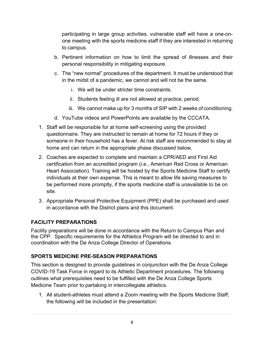participating in large group activities, vulnerable staff will have a one-onone meeting with the sports medicine staff if they are interested in returning to campus.

- b. Pertinent information on how to limit the spread of illnesses and their personal responsibility in mitigating exposure.
- c. The "new normal" procedures of the department. It must be understood that in the midst of a pandemic, we cannot and will not be the same.
	- i. We will be under stricter time constraints.
	- ii. Students feeling ill are not allowed at practice, period.
	- iii. We cannot make up for 3 months of SIP with 2 weeks of conditioning.
- d. YouTube videos and PowerPoints are available by the CCCATA.
- 1. Staff will be responsible for at home self-screening using the provided questionnaire. They are instructed to remain at home for 72 hours if they or someone in their household has a fever. At risk staff are recommended to stay at home and can return in the appropriate phase discussed below.
- 2. Coaches are expected to complete and maintain a CPR/AED and First Aid certification from an accredited program (i.e., American Red Cross or American Heart Association). Training will be hosted by the Sports Medicine Staff to certify individuals at their own expense. This is meant to allow life saving measures to be performed more promptly, if the sports medicine staff is unavailable to be on site.
- 3. Appropriate Personal Protective Equipment (PPE) shall be purchased and used in accordance with the District plans and this document.

# **FACILITY PREPARATIONS**

Facility preparations will be done in accordance with the Return to Campus Plan and the CPP. Specific requirements for the Athletics Program will be directed to and in coordination with the De Anza College Director of Operations.

# **SPORTS MEDICINE PRE-SEASON PREPARATIONS**

This section is designed to provide guidelines in conjunction with the De Anza College COVID-19 Task Force in regard to its Athletic Department procedures. The following outlines what prerequisites need to be fulfilled with the De Anza College Sports Medicine Team prior to partaking in intercollegiate athletics.

1. All student-athletes must attend a Zoom meeting with the Sports Medicine Staff; the following will be included in the presentation: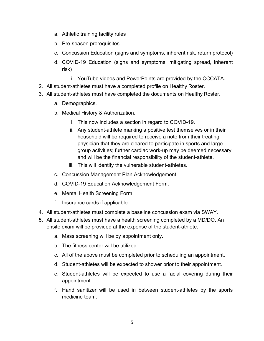- a. Athletic training facility rules
- b. Pre-season prerequisites
- c. Concussion Education (signs and symptoms, inherent risk, return protocol)
- d. COVID-19 Education (signs and symptoms, mitigating spread, inherent risk)
	- i. YouTube videos and PowerPoints are provided by the CCCATA.
- 2. All student-athletes must have a completed profile on Healthy Roster.
- 3. All student-athletes must have completed the documents on Healthy Roster.
	- a. Demographics.
	- b. Medical History & Authorization.
		- i. This now includes a section in regard to COVID-19.
		- ii. Any student-athlete marking a positive test themselves or in their household will be required to receive a note from their treating physician that they are cleared to participate in sports and large group activities; further cardiac work-up may be deemed necessary and will be the financial responsibility of the student-athlete.
		- iii. This will identify the vulnerable student-athletes.
	- c. Concussion Management Plan Acknowledgement.
	- d. COVID-19 Education Acknowledgement Form.
	- e. Mental Health Screening Form.
	- f. Insurance cards if applicable.
- 4. All student-athletes must complete a baseline concussion exam via SWAY.
- 5. All student-athletes must have a health screening completed by a MD/DO. An onsite exam will be provided at the expense of the student-athlete.
	- a. Mass screening will be by appointment only.
	- b. The fitness center will be utilized.
	- c. All of the above must be completed prior to scheduling an appointment.
	- d. Student-athletes will be expected to shower prior to their appointment.
	- e. Student-athletes will be expected to use a facial covering during their appointment.
	- f. Hand sanitizer will be used in between student-athletes by the sports medicine team.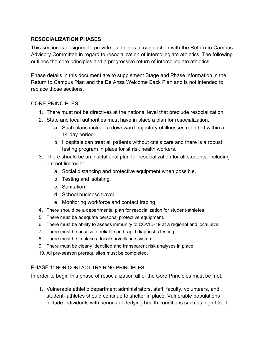#### **RESOCIALIZATION PHASES**

This section is designed to provide guidelines in conjunction with the Return to Campus Advisory Committee in regard to resocialization of intercollegiate athletics. The following outlines the core principles and a progressive return of intercollegiate athletics.

Phase details in this document are to supplement Stage and Phase information in the Return to Campus Plan and the De Anza Welcome Back Plan and is not intended to replace those sections.

#### CORE PRINCIPI ES

- 1. There must not be directives at the national level that preclude resocialization
- 2. State and local authorities must have in place a plan for resocialization.
	- a. Such plans include a downward trajectory of illnesses reported within a 14-day period.
	- b. Hospitals can treat all patients without crisis care and there is a robust testing program in place for at risk health workers.
- 3. There should be an institutional plan for resocialization for all students, including but not limited to.
	- a. Social distancing and protective equipment when possible.
	- b. Testing and isolating.
	- c. Sanitation.
	- d. School business travel.
	- e. Monitoring workforce and contact tracing.
- 4. There should be a departmental plan for resocialization for student-athletes.
- 5. There must be adequate personal protective equipment.
- 6. There must be ability to assess immunity to COVID-19 at a regional and local level.
- 7. There must be access to reliable and rapid diagnostic testing.
- 8. There must be in place a local surveillance system.
- 9. There must be clearly identified and transparent risk analyses in place.
- 10. All pre-season prerequisites must be completed.

#### PHASE 1: NON-CONTACT TRAINING PRINCIPLES

In order to begin this phase of resocialization all of the Core Principles must be met.

1. Vulnerable athletic department administrators, staff, faculty, volunteers, and student- athletes should continue to shelter in place. Vulnerable populations include individuals with serious underlying health conditions such as high blood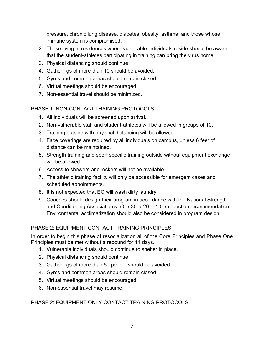pressure, chronic lung disease, diabetes, obesity, asthma, and those whose immune system is compromised.

- 2. Those living in residences where vulnerable individuals reside should be aware that the student-athletes participating in training can bring the virus home.
- 3. Physical distancing should continue.
- 4. Gatherings of more than 10 should be avoided.
- 5. Gyms and common areas should remain closed.
- 6. Virtual meetings should be encouraged.
- 7. Non-essential travel should be minimized.

#### PHASE 1: NON-CONTACT TRAINING PROTOCOLS

- 1. All individuals will be screened upon arrival.
- 2. Non-vulnerable staff and student-athletes will be allowed in groups of 10.
- 3. Training outside with physical distancing will be allowed.
- 4. Face coverings are required by all individuals on campus, unless 6 feet of distance can be maintained.
- 5. Strength training and sport specific training outside without equipment exchange will be allowed.
- 6. Access to showers and lockers will not be available.
- 7. The athletic training facility will only be accessible for emergent cases and scheduled appointments.
- 8. It is not expected that EQ will wash dirty laundry.
- 9. Coaches should design their program in accordance with the National Strength and Conditioning Association's  $50 \rightarrow 30 \rightarrow 20 \rightarrow 10 \rightarrow$  reduction recommendation. Environmental acclimatization should also be considered in program design.

#### PHASE 2: EQUIPMENT CONTACT TRAINING PRINCIPLES

In order to begin this phase of resocialization all of the Core Principles and Phase One Principles must be met without a rebound for 14 days.

- 1. Vulnerable individuals should continue to shelter in place.
- 2. Physical distancing should continue.
- 3. Gatherings of more than 50 people should be avoided.
- 4. Gyms and common areas should remain closed.
- 5. Virtual meetings should be encouraged.
- 6. Non-essential travel may resume.

#### PHASE 2: EQUIPMENT ONLY CONTACT TRAINING PROTOCOLS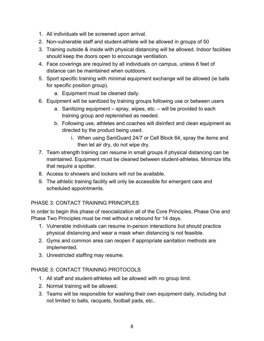- 1. All individuals will be screened upon arrival.
- 2. Non-vulnerable staff and student-athlete will be allowed in groups of 50
- 3. Training outside & inside with physical distancing will be allowed. Indoor facilities should keep the doors open to encourage ventilation.
- 4. Face coverings are required by all individuals on campus, unless 6 feet of distance can be maintained when outdoors.
- 5. Sport specific training with minimal equipment exchange will be allowed (ie balls for specific position group).
	- a. Equipment must be cleaned daily.
- 6. Equipment will be sanitized by training groups following use or between users
	- a. Sanitizing equipment spray, wipes, etc. will be provided to each training group and replenished as needed.
	- b. Following use, athletes and coaches will disinfect and clean equipment as directed by the product being used.
		- i. When using SaniGuard 24/7 or Cell Block 64, spray the items and then let air dry, do not wipe dry.
- 7. Team strength training can resume in small groups if physical distancing can be maintained. Equipment must be cleaned between student-athletes. Minimize lifts that require a spotter.
- 8. Access to showers and lockers will not be available.
- 9. The athletic training facility will only be accessible for emergent care and scheduled appointments.

# PHASE 3: CONTACT TRAINING PRINCIPLES

In order to begin this phase of resocialization all of the Core Principles, Phase One and Phase Two Principles must be met without a rebound for 14 days.

- 1. Vulnerable individuals can resume in-person interactions but should practice physical distancing and wear a mask when distancing is not feasible.
- 2. Gyms and common area can reopen if appropriate sanitation methods are implemented.
- 3. Unrestricted staffing may resume.

# PHASE 3: CONTACT TRAINING PROTOCOLS

- 1. All staff and student-athletes will be allowed with no group limit.
- 2. Normal training will be allowed.
- 3. Teams will be responsible for washing their own equipment daily, including but not limited to balls, racquets, football pads, etc..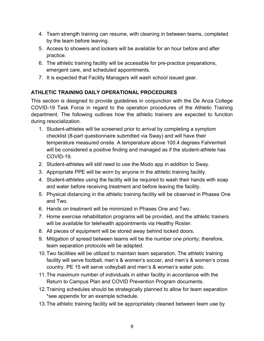- 4. Team strength training can resume, with cleaning in between teams, completed by the team before leaving.
- 5. Access to showers and lockers will be available for an hour before and after practice.
- 6. The athletic training facility will be accessible for pre-practice preparations, emergent care, and scheduled appointments.
- 7. It is expected that Facility Managers will wash school issued gear.

# **ATHLETIC TRAINING DAILY OPERATIONAL PROCEDURES**

This section is designed to provide guidelines in conjunction with the De Anza College COVID-19 Task Force in regard to the operation procedures of the Athletic Training department. The following outlines how the athletic trainers are expected to function during resocialization.

- 1. Student-athletes will be screened prior to arrival by completing a symptom checklist (8-part questionnaire submitted via Sway) and will have their temperature measured onsite. A temperature above 100.4 degrees Fahrenheit will be considered a positive finding and managed as if the student-athlete has COVID-19.
- 2. Student-athletes will still need to use the Modo app in addition to Sway.
- 3. Appropriate PPE will be worn by anyone in the athletic training facility.
- 4. Student-athletes using the facility will be required to wash their hands with soap and water before receiving treatment and before leaving the facility.
- 5. Physical distancing in the athletic training facility will be observed in Phases One and Two.
- 6. Hands on treatment will be minimized in Phases One and Two.
- 7. Home exercise rehabilitation programs will be provided, and the athletic trainers will be available for telehealth appointments via Healthy Roster.
- 8. All pieces of equipment will be stored away behind locked doors.
- 9. Mitigation of spread between teams will be the number one priority; therefore, team separation protocols will be adapted.
- 10.Two facilities will be utilized to maintain team separation. The athletic training facility will serve football, men's & women's soccer, and men's & women's cross country. PE 15 will serve volleyball and men's & women's water polo.
- 11.The maximum number of individuals in either facility in accordance with the Return to Campus Plan and COVID Prevention Program documents.
- 12.Training schedules should be strategically planned to allow for team separation \*see appendix for an example schedule.
- 13.The athletic training facility will be appropriately cleaned between team use by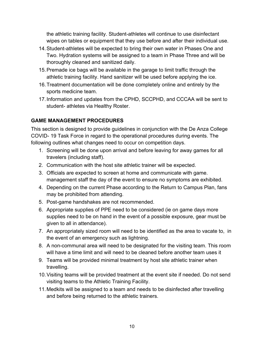the athletic training facility. Student-athletes will continue to use disinfectant wipes on tables or equipment that they use before and after their individual use.

- 14.Student-athletes will be expected to bring their own water in Phases One and Two. Hydration systems will be assigned to a team in Phase Three and will be thoroughly cleaned and sanitized daily.
- 15.Premade ice bags will be available in the garage to limit traffic through the athletic training facility. Hand sanitizer will be used before applying the ice.
- 16.Treatment documentation will be done completely online and entirely by the sports medicine team.
- 17.Information and updates from the CPHD, SCCPHD, and CCCAA will be sent to student- athletes via Healthy Roster.

# **GAME MANAGEMENT PROCEDURES**

This section is designed to provide guidelines in conjunction with the De Anza College COVID- 19 Task Force in regard to the operational procedures during events. The following outlines what changes need to occur on competition days.

- 1. Screening will be done upon arrival and before leaving for away games for all travelers (including staff).
- 2. Communication with the host site athletic trainer will be expected.
- 3. Officials are expected to screen at home and communicate with game. management staff the day of the event to ensure no symptoms are exhibited.
- 4. Depending on the current Phase according to the Return to Campus Plan, fans may be prohibited from attending.
- 5. Post-game handshakes are not recommended.
- 6. Appropriate supplies of PPE need to be considered (ie on game days more supplies need to be on hand in the event of a possible exposure, gear must be given to all in attendance).
- 7. An appropriately sized room will need to be identified as the area to vacate to, in the event of an emergency such as lightning.
- 8. A non-communal area will need to be designated for the visiting team. This room will have a time limit and will need to be cleaned before another team uses it
- 9. Teams will be provided minimal treatment by host site athletic trainer when travelling.
- 10.Visiting teams will be provided treatment at the event site if needed. Do not send visiting teams to the Athletic Training Facility.
- 11.Medkits will be assigned to a team and needs to be disinfected after travelling and before being returned to the athletic trainers.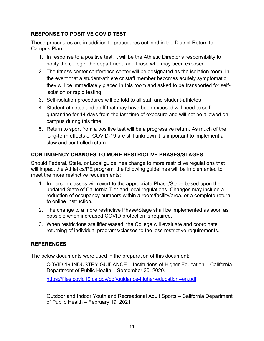### **RESPONSE TO POSITIVE COVID TEST**

These procedures are in addition to procedures outlined in the District Return to Campus Plan.

- 1. In response to a positive test, it will be the Athletic Director's responsibility to notify the college, the department, and those who may been exposed
- 2. The fitness center conference center will be designated as the isolation room. In the event that a student-athlete or staff member becomes acutely symptomatic, they will be immediately placed in this room and asked to be transported for selfisolation or rapid testing.
- 3. Self-isolation procedures will be told to all staff and student-athletes
- 4. Student-athletes and staff that may have been exposed will need to selfquarantine for 14 days from the last time of exposure and will not be allowed on campus during this time.
- 5. Return to sport from a positive test will be a progressive return. As much of the long-term effects of COVID-19 are still unknown it is important to implement a slow and controlled return.

# **CONTINGENCY CHANGES TO MORE RESTRICTIVE PHASES/STAGES**

Should Federal, State, or Local guidelines change to more restrictive regulations that will impact the Athletics/PE program, the following guidelines will be implemented to meet the more restrictive requirements:

- 1. In-person classes will revert to the appropriate Phase/Stage based upon the updated State of California Tier and local regulations. Changes may include a reduction of occupancy numbers within a room/facility/area, or a complete return to online instruction.
- 2. The change to a more restrictive Phase/Stage shall be implemented as soon as possible when increased COVID protection is required.
- 3. When restrictions are lifted/eased, the College will evaluate and coordinate returning of individual programs/classes to the less restrictive requirements.

#### **REFERENCES**

The below documents were used in the preparation of this document:

COVID-19 INDUSTRY GUIDANCE – Institutions of Higher Education – California Department of Public Health – September 30, 2020.

<https://files.covid19.ca.gov/pdf/guidance-higher-education--en.pdf>

Outdoor and Indoor Youth and Recreational Adult Sports – California Department of Public Health – February 19, 2021